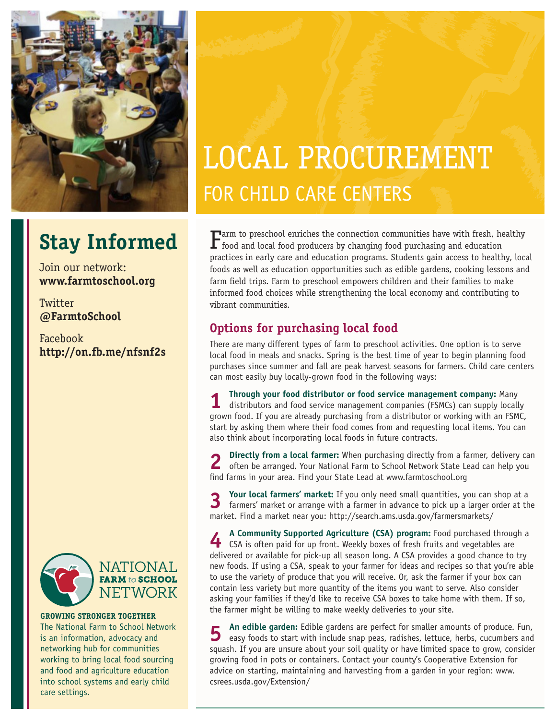

## **Stay Informed**

Join our network: **www.farmtoschool.org**

**Twitter @FarmtoSchool**

Facebook **http://on.fb.me/nfsnf2s**



**GROWING STRONGER TOGETHER** The National Farm to School Network is an information, advocacy and networking hub for communities working to bring local food sourcing and food and agriculture education into school systems and early child care settings.

# LOCAL PROCUREMENT FOR CHILD CARE CENTERS

 $\Gamma$ arm to preschool enriches the connection communities have with fresh, healthy food and local food producers by changing food purchasing and education practices in early care and education programs. Students gain access to healthy, local foods as well as education opportunities such as edible gardens, cooking lessons and farm field trips. Farm to preschool empowers children and their families to make informed food choices while strengthening the local economy and contributing to vibrant communities.

### **Options for purchasing local food**

There are many different types of farm to preschool activities. One option is to serve local food in meals and snacks. Spring is the best time of year to begin planning food purchases since summer and fall are peak harvest seasons for farmers. Child care centers can most easily buy locally-grown food in the following ways:

**1 Through your food distributor or food service management company:** Many distributors and food service management companies (FSMCs) can supply locally grown food. If you are already purchasing from a distributor or working with an FSMC, start by asking them where their food comes from and requesting local items. You can also think about incorporating local foods in future contracts.

**2 Directly from a local farmer:** When purchasing directly from a farmer, delivery can often be arranged. Your National Farm to School Network State Lead can help you find farms in your area. Find your State Lead at www.farmtoschool.org

**3 Your local farmers' market:** If you only need small quantities, you can shop at a farmers' market or arrange with a farmer in advance to pick up a larger order at the market. Find a market near you: http://search.ams.usda.gov/farmersmarkets/

**4 A Community Supported Agriculture (CSA) program:** Food purchased through a<br>**4 CSA** is often paid for up front. Wookly boxes of fresh fruits and vegetables are CSA is often paid for up front. Weekly boxes of fresh fruits and vegetables are delivered or available for pick-up all season long. A CSA provides a good chance to try new foods. If using a CSA, speak to your farmer for ideas and recipes so that you're able to use the variety of produce that you will receive. Or, ask the farmer if your box can contain less variety but more quantity of the items you want to serve. Also consider asking your families if they'd like to receive CSA boxes to take home with them. If so, the farmer might be willing to make weekly deliveries to your site.

**5** An edible garden: Edible gardens are perfect for smaller amounts of produce. Fun, easy foods to start with include snap peas, radishes, lettuce, herbs, cucumbers and squash. If you are unsure about your soil quality or have limited space to grow, consider growing food in pots or containers. Contact your county's Cooperative Extension for advice on starting, maintaining and harvesting from a garden in your region: www. csrees.usda.gov/Extension/